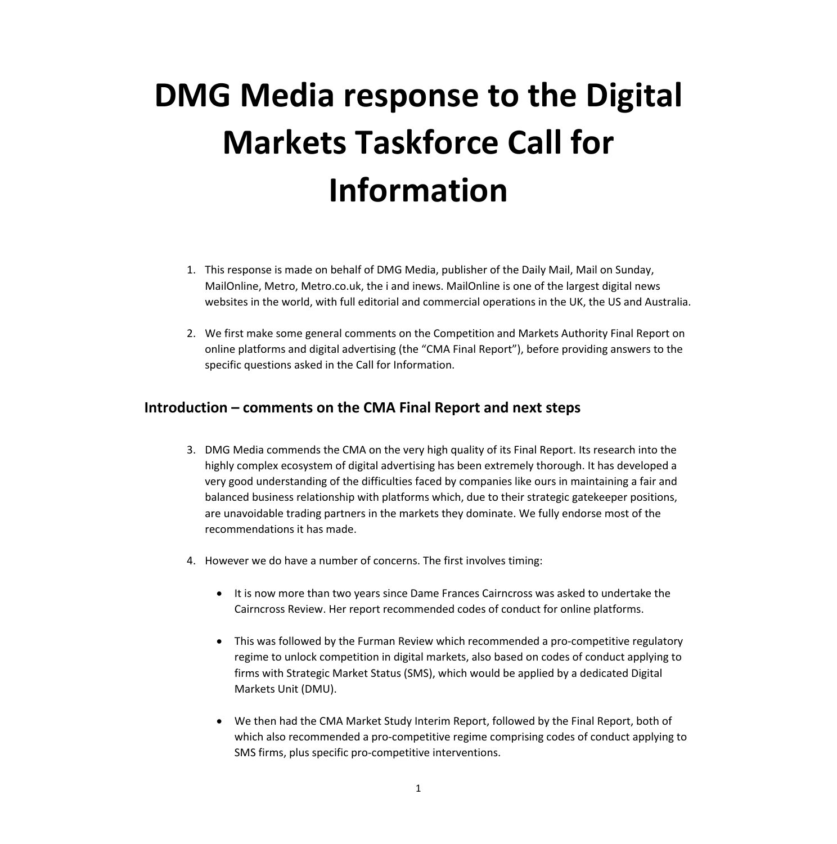# **DMG Media response to the Digital Markets Taskforce Call for Information**

- 1. This response is made on behalf of DMG Media, publisher of the Daily Mail, Mail on Sunday, MailOnline, Metro, Metro.co.uk, the i and inews. MailOnline is one of the largest digital news websites in the world, with full editorial and commercial operations in the UK, the US and Australia.
- 2. We first make some general comments on the Competition and Markets Authority Final Report on online platforms and digital advertising (the "CMA Final Report"), before providing answers to the specific questions asked in the Call for Information.

# **Introduction – comments on the CMA Final Report and next steps**

- 3. DMG Media commends the CMA on the very high quality of its Final Report. Its research into the highly complex ecosystem of digital advertising has been extremely thorough. It has developed a very good understanding of the difficulties faced by companies like ours in maintaining a fair and balanced business relationship with platforms which, due to their strategic gatekeeper positions, are unavoidable trading partners in the markets they dominate. We fully endorse most of the recommendations it has made.
- 4. However we do have a number of concerns. The first involves timing:
	- It is now more than two years since Dame Frances Cairncross was asked to undertake the Cairncross Review. Her report recommended codes of conduct for online platforms.
	- This was followed by the Furman Review which recommended a pro-competitive regulatory regime to unlock competition in digital markets, also based on codes of conduct applying to firms with Strategic Market Status (SMS), which would be applied by a dedicated Digital Markets Unit (DMU).
	- We then had the CMA Market Study Interim Report, followed by the Final Report, both of which also recommended a pro-competitive regime comprising codes of conduct applying to SMS firms, plus specific pro-competitive interventions.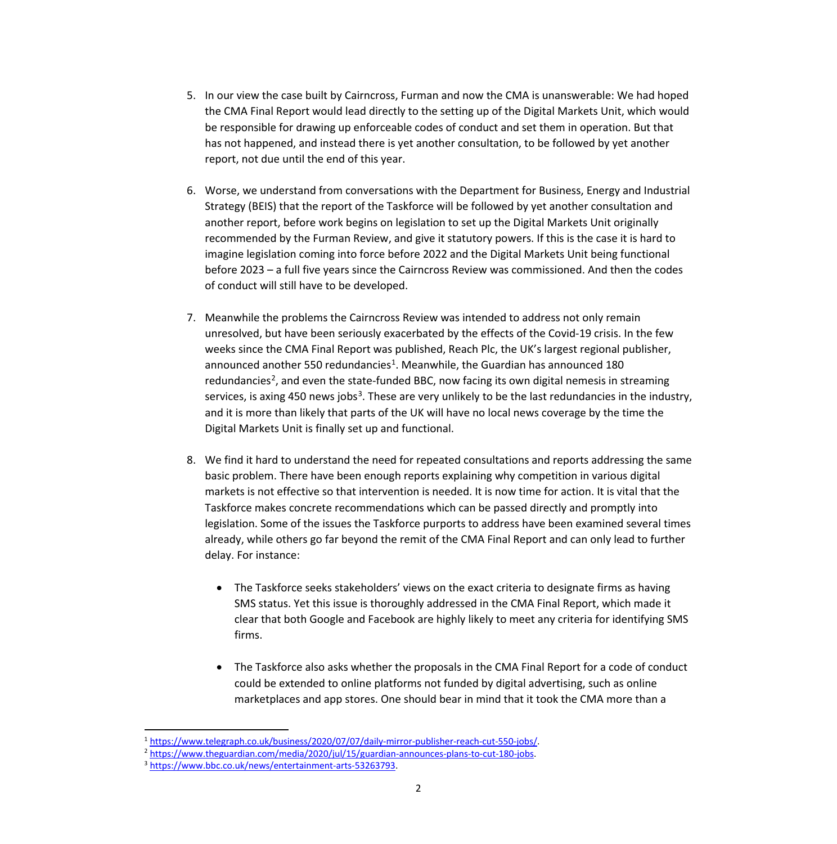- 5. In our view the case built by Cairncross, Furman and now the CMA is unanswerable: We had hoped the CMA Final Report would lead directly to the setting up of the Digital Markets Unit, which would be responsible for drawing up enforceable codes of conduct and set them in operation. But that has not happened, and instead there is yet another consultation, to be followed by yet another report, not due until the end of this year.
- 6. Worse, we understand from conversations with the Department for Business, Energy and Industrial Strategy (BEIS) that the report of the Taskforce will be followed by yet another consultation and another report, before work begins on legislation to set up the Digital Markets Unit originally recommended by the Furman Review, and give it statutory powers. If this is the case it is hard to imagine legislation coming into force before 2022 and the Digital Markets Unit being functional before 2023 – a full five years since the Cairncross Review was commissioned. And then the codes of conduct will still have to be developed.
- 7. Meanwhile the problems the Cairncross Review was intended to address not only remain unresolved, but have been seriously exacerbated by the effects of the Covid-19 crisis. In the few weeks since the CMA Final Report was published, Reach Plc, the UK's largest regional publisher, announced another 550 redundancies<sup>1</sup>. Meanwhile, the Guardian has announced 180 redundancies<sup>2</sup>, and even the state-funded BBC, now facing its own digital nemesis in streaming services, is axing 450 news jobs<sup>[3](#page-1-2)</sup>. These are very unlikely to be the last redundancies in the industry, and it is more than likely that parts of the UK will have no local news coverage by the time the Digital Markets Unit is finally set up and functional.
- 8. We find it hard to understand the need for repeated consultations and reports addressing the same basic problem. There have been enough reports explaining why competition in various digital markets is not effective so that intervention is needed. It is now time for action. It is vital that the Taskforce makes concrete recommendations which can be passed directly and promptly into legislation. Some of the issues the Taskforce purports to address have been examined several times already, while others go far beyond the remit of the CMA Final Report and can only lead to further delay. For instance:
	- The Taskforce seeks stakeholders' views on the exact criteria to designate firms as having SMS status. Yet this issue is thoroughly addressed in the CMA Final Report, which made it clear that both Google and Facebook are highly likely to meet any criteria for identifying SMS firms.
	- The Taskforce also asks whether the proposals in the CMA Final Report for a code of conduct could be extended to online platforms not funded by digital advertising, such as online marketplaces and app stores. One should bear in mind that it took the CMA more than a

<span id="page-1-0"></span> $\frac{1 \text{ https://www.telegraph.co.uk/business/2020/07/07/daily-mirror-publisher-reach-cut-550-ibbs/}}{\frac{2 \text{ https://www.theguardian.com/media/2020/jul/15/guardian-announces-plans-to-cut-180-ibbs}}{\frac{3 \text{ https://www.theguardian.com/media/2020/jul/15/guardian-announces-plans-to-cut-180-ibbs}}{\frac{3 \text{ https://www.bbc.co.uk/news/entertainment-arts-53263793}}$ 

<span id="page-1-2"></span><span id="page-1-1"></span>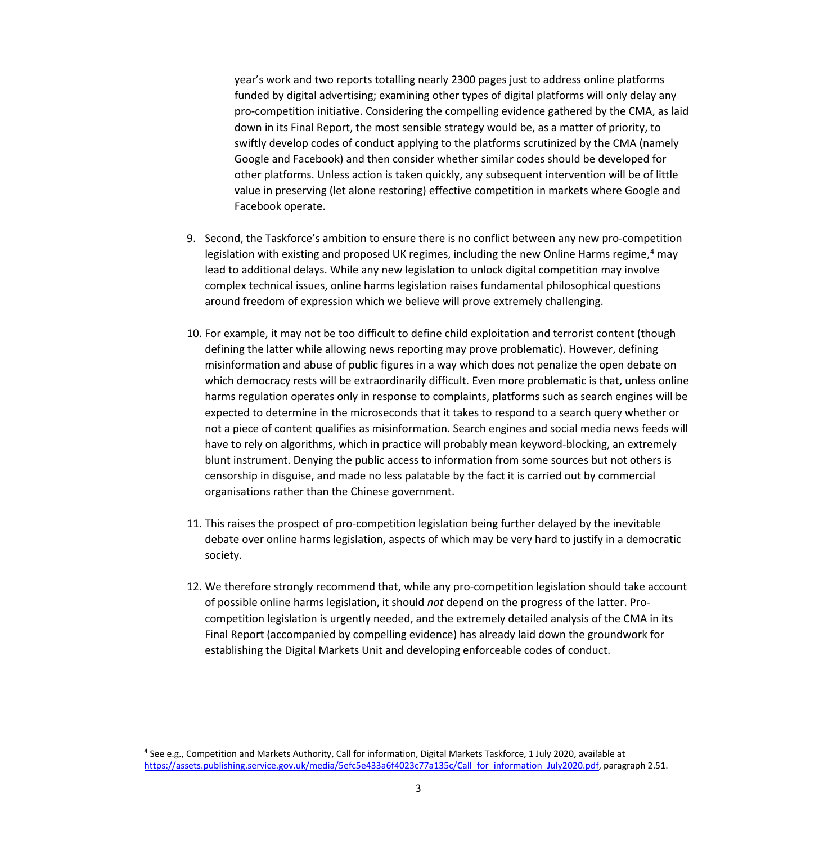year's work and two reports totalling nearly 2300 pages just to address online platforms funded by digital advertising; examining other types of digital platforms will only delay any pro-competition initiative. Considering the compelling evidence gathered by the CMA, as laid down in its Final Report, the most sensible strategy would be, as a matter of priority, to swiftly develop codes of conduct applying to the platforms scrutinized by the CMA (namely Google and Facebook) and then consider whether similar codes should be developed for other platforms. Unless action is taken quickly, any subsequent intervention will be of little value in preserving (let alone restoring) effective competition in markets where Google and Facebook operate.

- 9. Second, the Taskforce's ambition to ensure there is no conflict between any new pro-competition legislation with existing and proposed UK regimes, including the new Online Harms regime,<sup>[4](#page-2-0)</sup> may lead to additional delays. While any new legislation to unlock digital competition may involve complex technical issues, online harms legislation raises fundamental philosophical questions around freedom of expression which we believe will prove extremely challenging.
- 10. For example, it may not be too difficult to define child exploitation and terrorist content (though defining the latter while allowing news reporting may prove problematic). However, defining misinformation and abuse of public figures in a way which does not penalize the open debate on which democracy rests will be extraordinarily difficult. Even more problematic is that, unless online harms regulation operates only in response to complaints, platforms such as search engines will be expected to determine in the microseconds that it takes to respond to a search query whether or not a piece of content qualifies as misinformation. Search engines and social media news feeds will have to rely on algorithms, which in practice will probably mean keyword-blocking, an extremely blunt instrument. Denying the public access to information from some sources but not others is censorship in disguise, and made no less palatable by the fact it is carried out by commercial organisations rather than the Chinese government.
- 11. This raises the prospect of pro-competition legislation being further delayed by the inevitable debate over online harms legislation, aspects of which may be very hard to justify in a democratic society.
- 12. We therefore strongly recommend that, while any pro-competition legislation should take account of possible online harms legislation, it should *not* depend on the progress of the latter. Procompetition legislation is urgently needed, and the extremely detailed analysis of the CMA in its Final Report (accompanied by compelling evidence) has already laid down the groundwork for establishing the Digital Markets Unit and developing enforceable codes of conduct.

<span id="page-2-0"></span><sup>4</sup> See e.g., Competition and Markets Authority, Call for information, Digital Markets Taskforce, 1 July 2020, available at [https://assets.publishing.service.gov.uk/media/5efc5e433a6f4023c77a135c/Call\\_for\\_information\\_July2020.pdf,](https://assets.publishing.service.gov.uk/media/5efc5e433a6f4023c77a135c/Call_for_information_July2020.pdf) paragraph 2.51.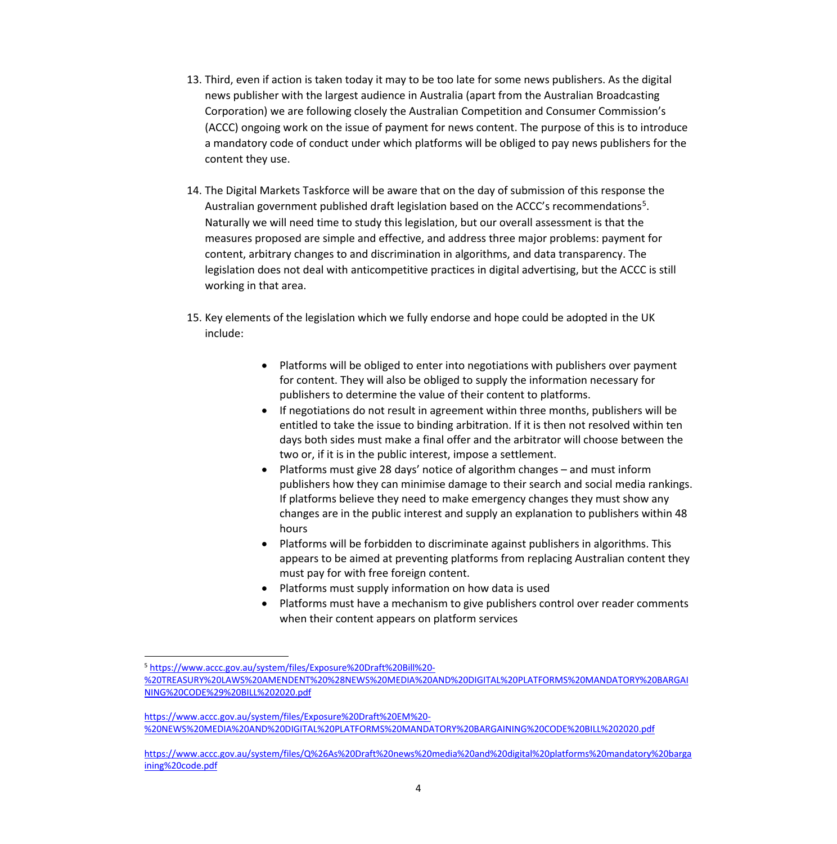- 13. Third, even if action is taken today it may to be too late for some news publishers. As the digital news publisher with the largest audience in Australia (apart from the Australian Broadcasting Corporation) we are following closely the Australian Competition and Consumer Commission's (ACCC) ongoing work on the issue of payment for news content. The purpose of this is to introduce a mandatory code of conduct under which platforms will be obliged to pay news publishers for the content they use.
- 14. The Digital Markets Taskforce will be aware that on the day of submission of this response the Australian government published draft legislation based on the ACCC's recommendations<sup>[5](#page-3-0)</sup>. Naturally we will need time to study this legislation, but our overall assessment is that the measures proposed are simple and effective, and address three major problems: payment for content, arbitrary changes to and discrimination in algorithms, and data transparency. The legislation does not deal with anticompetitive practices in digital advertising, but the ACCC is still working in that area.
- 15. Key elements of the legislation which we fully endorse and hope could be adopted in the UK include:
	- Platforms will be obliged to enter into negotiations with publishers over payment for content. They will also be obliged to supply the information necessary for publishers to determine the value of their content to platforms.
	- If negotiations do not result in agreement within three months, publishers will be entitled to take the issue to binding arbitration. If it is then not resolved within ten days both sides must make a final offer and the arbitrator will choose between the two or, if it is in the public interest, impose a settlement.
	- Platforms must give 28 days' notice of algorithm changes and must inform publishers how they can minimise damage to their search and social media rankings. If platforms believe they need to make emergency changes they must show any changes are in the public interest and supply an explanation to publishers within 48 hours
	- Platforms will be forbidden to discriminate against publishers in algorithms. This appears to be aimed at preventing platforms from replacing Australian content they must pay for with free foreign content.
	- Platforms must supply information on how data is used
	- Platforms must have a mechanism to give publishers control over reader comments when their content appears on platform services

<span id="page-3-0"></span><sup>5</sup> [https://www.accc.gov.au/system/files/Exposure%20Draft%20Bill%20-](https://www.accc.gov.au/system/files/Exposure%20Draft%20Bill%20-%20TREASURY%20LAWS%20AMENDENT%20%28NEWS%20MEDIA%20AND%20DIGITAL%20PLATFORMS%20MANDATORY%20BARGAINING%20CODE%29%20BILL%202020.pdf)

[<sup>%20</sup>TREASURY%20LAWS%20AMENDENT%20%28NEWS%20MEDIA%20AND%20DIGITAL%20PLATFORMS%20MANDATORY%20BARGAI](https://www.accc.gov.au/system/files/Exposure%20Draft%20Bill%20-%20TREASURY%20LAWS%20AMENDENT%20%28NEWS%20MEDIA%20AND%20DIGITAL%20PLATFORMS%20MANDATORY%20BARGAINING%20CODE%29%20BILL%202020.pdf) [NING%20CODE%29%20BILL%202020.pdf](https://www.accc.gov.au/system/files/Exposure%20Draft%20Bill%20-%20TREASURY%20LAWS%20AMENDENT%20%28NEWS%20MEDIA%20AND%20DIGITAL%20PLATFORMS%20MANDATORY%20BARGAINING%20CODE%29%20BILL%202020.pdf) 

[https://www.accc.gov.au/system/files/Exposure%20Draft%20EM%20-](https://www.accc.gov.au/system/files/Exposure%20Draft%20EM%20-%20NEWS%20MEDIA%20AND%20DIGITAL%20PLATFORMS%20MANDATORY%20BARGAINING%20CODE%20BILL%202020.pdf) [%20NEWS%20MEDIA%20AND%20DIGITAL%20PLATFORMS%20MANDATORY%20BARGAINING%20CODE%20BILL%202020.pdf](https://www.accc.gov.au/system/files/Exposure%20Draft%20EM%20-%20NEWS%20MEDIA%20AND%20DIGITAL%20PLATFORMS%20MANDATORY%20BARGAINING%20CODE%20BILL%202020.pdf)

[https://www.accc.gov.au/system/files/Q%26As%20Draft%20news%20media%20and%20digital%20platforms%20mandatory%20barga](https://www.accc.gov.au/system/files/Q%26As%20Draft%20news%20media%20and%20digital%20platforms%20mandatory%20bargaining%20code.pdf) [ining%20code.pdf](https://www.accc.gov.au/system/files/Q%26As%20Draft%20news%20media%20and%20digital%20platforms%20mandatory%20bargaining%20code.pdf)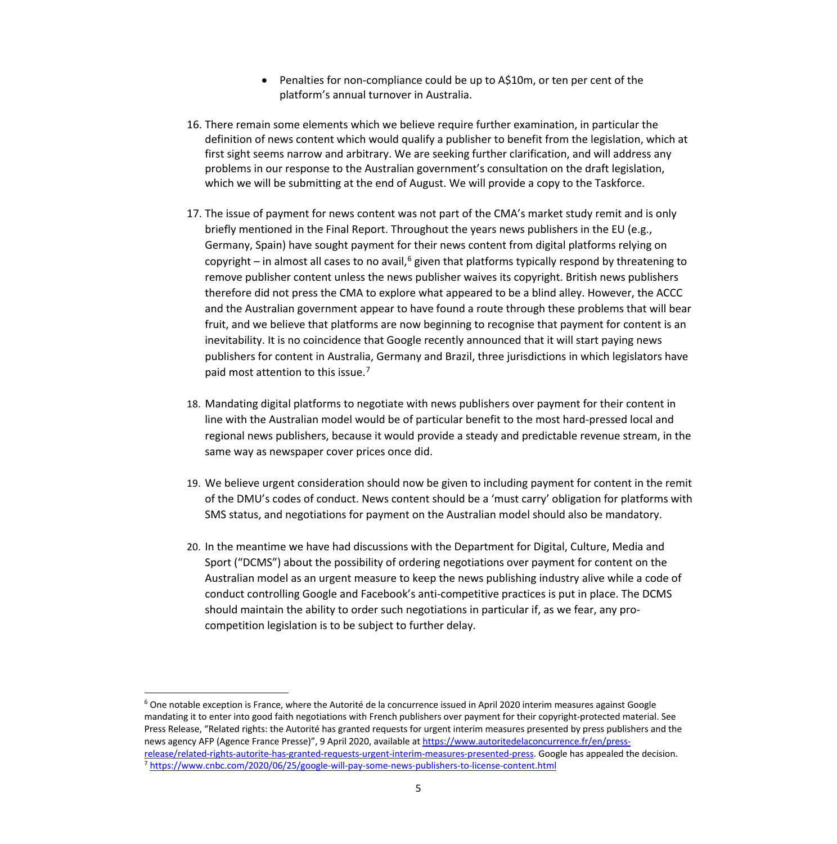- Penalties for non-compliance could be up to A\$10m, or ten per cent of the platform's annual turnover in Australia.
- 16. There remain some elements which we believe require further examination, in particular the definition of news content which would qualify a publisher to benefit from the legislation, which at first sight seems narrow and arbitrary. We are seeking further clarification, and will address any problems in our response to the Australian government's consultation on the draft legislation, which we will be submitting at the end of August. We will provide a copy to the Taskforce.
- 17. The issue of payment for news content was not part of the CMA's market study remit and is only briefly mentioned in the Final Report. Throughout the years news publishers in the EU (e.g., Germany, Spain) have sought payment for their news content from digital platforms relying on copyright – in almost all cases to no avail,<sup>[6](#page-4-0)</sup> given that platforms typically respond by threatening to remove publisher content unless the news publisher waives its copyright. British news publishers therefore did not press the CMA to explore what appeared to be a blind alley. However, the ACCC and the Australian government appear to have found a route through these problems that will bear fruit, and we believe that platforms are now beginning to recognise that payment for content is an inevitability. It is no coincidence that Google recently announced that it will start paying news publishers for content in Australia, Germany and Brazil, three jurisdictions in which legislators have paid most attention to this issue.<sup>[7](#page-4-1)</sup>
- 18. Mandating digital platforms to negotiate with news publishers over payment for their content in line with the Australian model would be of particular benefit to the most hard-pressed local and regional news publishers, because it would provide a steady and predictable revenue stream, in the same way as newspaper cover prices once did.
- 19. We believe urgent consideration should now be given to including payment for content in the remit of the DMU's codes of conduct. News content should be a 'must carry' obligation for platforms with SMS status, and negotiations for payment on the Australian model should also be mandatory.
- 20. In the meantime we have had discussions with the Department for Digital, Culture, Media and Sport ("DCMS") about the possibility of ordering negotiations over payment for content on the Australian model as an urgent measure to keep the news publishing industry alive while a code of conduct controlling Google and Facebook's anti-competitive practices is put in place. The DCMS should maintain the ability to order such negotiations in particular if, as we fear, any procompetition legislation is to be subject to further delay.

<span id="page-4-0"></span><sup>&</sup>lt;sup>6</sup> One notable exception is France, where the Autorité de la concurrence issued in April 2020 interim measures against Google mandating it to enter into good faith negotiations with French publishers over payment for their copyright-protected material. See Press Release, "Related rights: the Autorité has granted requests for urgent interim measures presented by press publishers and the news agency AFP (Agence France Presse)", 9 April 2020, available a[t https://www.autoritedelaconcurrence.fr/en/press](https://www.autoritedelaconcurrence.fr/en/press-release/related-rights-autorite-has-granted-requests-urgent-interim-measures-presented-press)[release/related-rights-autorite-has-granted-requests-urgent-interim-measures-presented-press.](https://www.autoritedelaconcurrence.fr/en/press-release/related-rights-autorite-has-granted-requests-urgent-interim-measures-presented-press) Google has appealed the decision.<br>7 <https://www.cnbc.com/2020/06/25/google-will-pay-some-news-publishers-to-license-content.html>

<span id="page-4-1"></span>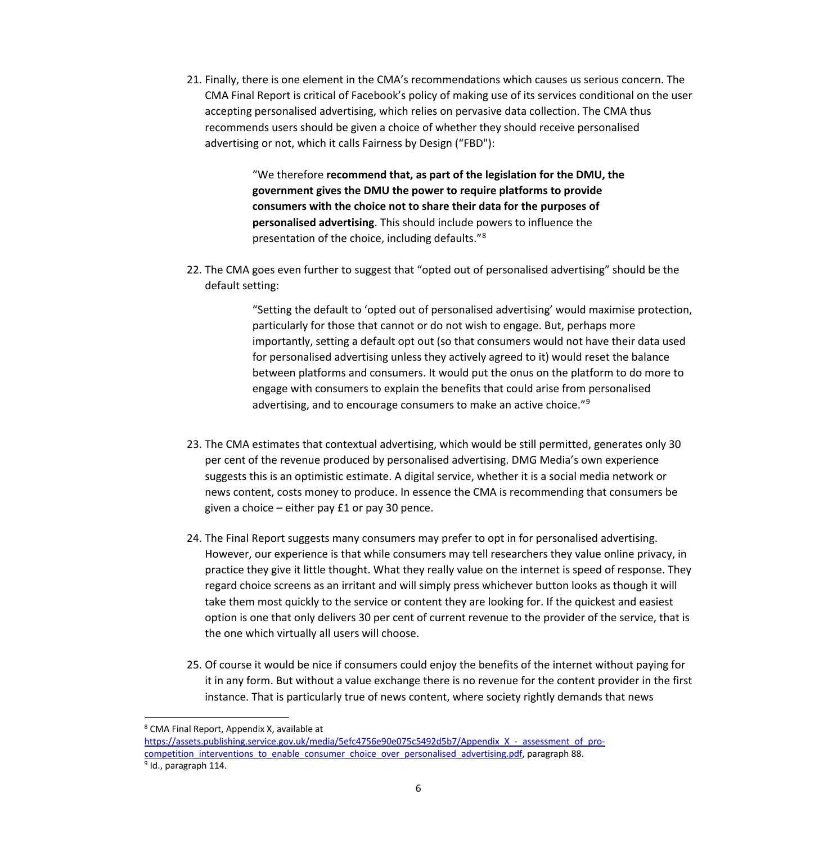21. Finally, there is one element in the CMA's recommendations which causes us serious concern. The CMA Final Report is critical of Facebook's policy of making use of its services conditional on the user accepting personalised advertising, which relies on pervasive data collection. The CMA thus recommends users should be given a choice of whether they should receive personalised advertising or not, which it calls Fairness by Design ("FBD"):

> "We therefore **recommend that, as part of the legislation for the DMU, the government gives the DMU the power to require platforms to provide consumers with the choice not to share their data for the purposes of personalised advertising**. This should include powers to influence the presentation of the choice, including defaults."[8](#page-5-0)

22. The CMA goes even further to suggest that "opted out of personalised advertising" should be the default setting:

> "Setting the default to 'opted out of personalised advertising' would maximise protection, particularly for those that cannot or do not wish to engage. But, perhaps more importantly, setting a default opt out (so that consumers would not have their data used for personalised advertising unless they actively agreed to it) would reset the balance between platforms and consumers. It would put the onus on the platform to do more to engage with consumers to explain the benefits that could arise from personalised advertising, and to encourage consumers to make an active choice."<sup>[9](#page-5-1)</sup>

- 23. The CMA estimates that contextual advertising, which would be still permitted, generates only 30 per cent of the revenue produced by personalised advertising. DMG Media's own experience suggests this is an optimistic estimate. A digital service, whether it is a social media network or news content, costs money to produce. In essence the CMA is recommending that consumers be given a choice – either pay £1 or pay 30 pence.
- 24. The Final Report suggests many consumers may prefer to opt in for personalised advertising. However, our experience is that while consumers may tell researchers they value online privacy, in practice they give it little thought. What they really value on the internet is speed of response. They regard choice screens as an irritant and will simply press whichever button looks as though it will take them most quickly to the service or content they are looking for. If the quickest and easiest option is one that only delivers 30 per cent of current revenue to the provider of the service, that is the one which virtually all users will choose.
- 25. Of course it would be nice if consumers could enjoy the benefits of the internet without paying for it in any form. But without a value exchange there is no revenue for the content provider in the first instance. That is particularly true of news content, where society rightly demands that news

<span id="page-5-0"></span><sup>8</sup> CMA Final Report, Appendix X, available at

[https://assets.publishing.service.gov.uk/media/5efc4756e90e075c5492d5b7/Appendix\\_X\\_-\\_assessment\\_of\\_pro](https://assets.publishing.service.gov.uk/media/5efc4756e90e075c5492d5b7/Appendix_X_-_assessment_of_pro-competition_interventions_to_enable_consumer_choice_over_personalised_advertising.pdf)[competition\\_interventions\\_to\\_enable\\_consumer\\_choice\\_over\\_personalised\\_advertising.pdf,](https://assets.publishing.service.gov.uk/media/5efc4756e90e075c5492d5b7/Appendix_X_-_assessment_of_pro-competition_interventions_to_enable_consumer_choice_over_personalised_advertising.pdf) paragraph 88.

<span id="page-5-1"></span> $9$  Id., paragraph 114.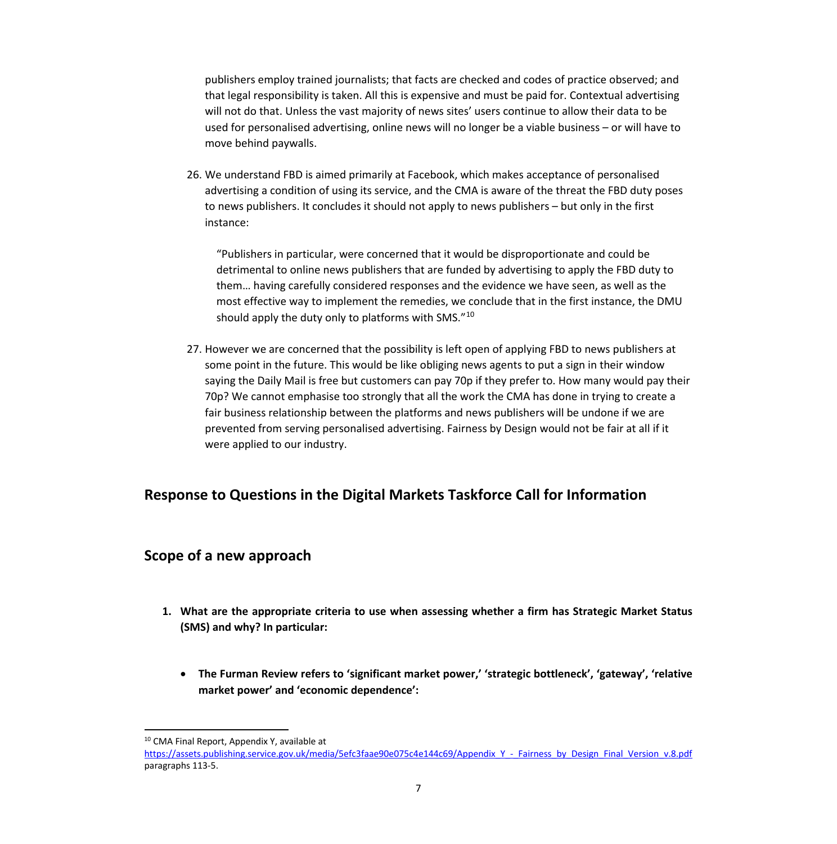publishers employ trained journalists; that facts are checked and codes of practice observed; and that legal responsibility is taken. All this is expensive and must be paid for. Contextual advertising will not do that. Unless the vast majority of news sites' users continue to allow their data to be used for personalised advertising, online news will no longer be a viable business – or will have to move behind paywalls.

26. We understand FBD is aimed primarily at Facebook, which makes acceptance of personalised advertising a condition of using its service, and the CMA is aware of the threat the FBD duty poses to news publishers. It concludes it should not apply to news publishers – but only in the first instance:

"Publishers in particular, were concerned that it would be disproportionate and could be detrimental to online news publishers that are funded by advertising to apply the FBD duty to them… having carefully considered responses and the evidence we have seen, as well as the most effective way to implement the remedies, we conclude that in the first instance, the DMU should apply the duty only to platforms with SMS."[10](#page-6-0)

27. However we are concerned that the possibility is left open of applying FBD to news publishers at some point in the future. This would be like obliging news agents to put a sign in their window saying the Daily Mail is free but customers can pay 70p if they prefer to. How many would pay their 70p? We cannot emphasise too strongly that all the work the CMA has done in trying to create a fair business relationship between the platforms and news publishers will be undone if we are prevented from serving personalised advertising. Fairness by Design would not be fair at all if it were applied to our industry.

# **Response to Questions in the Digital Markets Taskforce Call for Information**

## **Scope of a new approach**

- **1. What are the appropriate criteria to use when assessing whether a firm has Strategic Market Status (SMS) and why? In particular:**
	- **The Furman Review refers to 'significant market power,' 'strategic bottleneck', 'gateway', 'relative market power' and 'economic dependence':**

<sup>10</sup> CMA Final Report, Appendix Y, available at

<span id="page-6-0"></span>[https://assets.publishing.service.gov.uk/media/5efc3faae90e075c4e144c69/Appendix\\_Y\\_-\\_Fairness\\_by\\_Design\\_Final\\_Version\\_v.8.pdf](https://assets.publishing.service.gov.uk/media/5efc3faae90e075c4e144c69/Appendix_Y_-_Fairness_by_Design_Final_Version_v.8.pdf) paragraphs 113-5.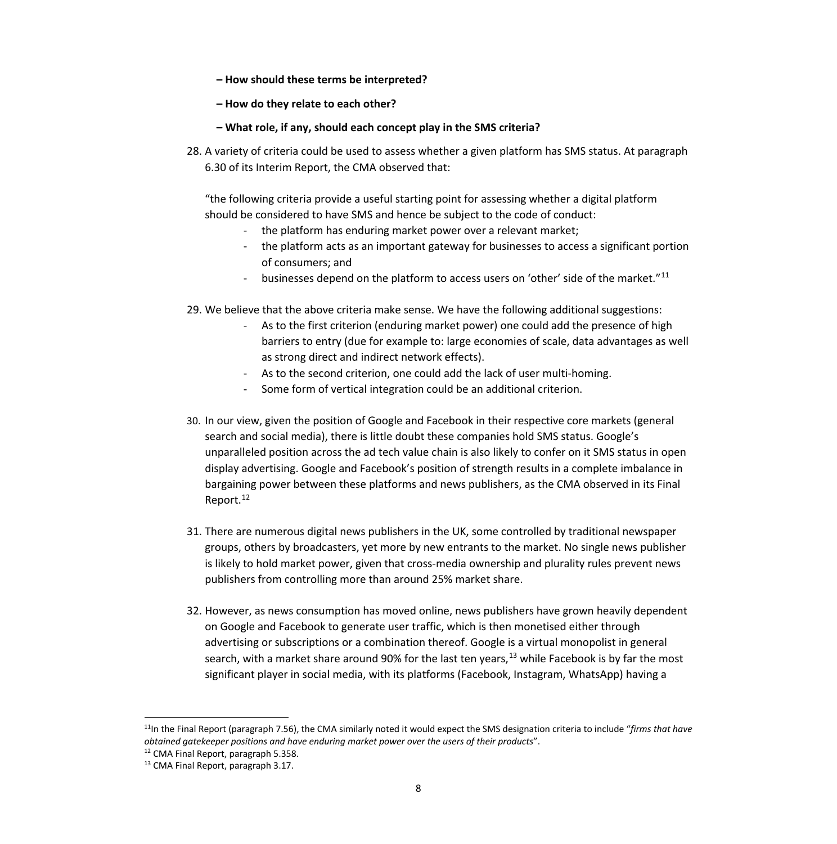- **How should these terms be interpreted?**
- **How do they relate to each other?**
- **What role, if any, should each concept play in the SMS criteria?**
- 28. A variety of criteria could be used to assess whether a given platform has SMS status. At paragraph 6.30 of its Interim Report, the CMA observed that:

"the following criteria provide a useful starting point for assessing whether a digital platform should be considered to have SMS and hence be subject to the code of conduct:

- the platform has enduring market power over a relevant market;
- the platform acts as an important gateway for businesses to access a significant portion of consumers; and
- businesses depend on the platform to access users on 'other' side of the market."<sup>[11](#page-7-0)</sup>
- 29. We believe that the above criteria make sense. We have the following additional suggestions:
	- As to the first criterion (enduring market power) one could add the presence of high barriers to entry (due for example to: large economies of scale, data advantages as well as strong direct and indirect network effects).
	- As to the second criterion, one could add the lack of user multi-homing.
	- Some form of vertical integration could be an additional criterion.
- 30. In our view, given the position of Google and Facebook in their respective core markets (general search and social media), there is little doubt these companies hold SMS status. Google's unparalleled position across the ad tech value chain is also likely to confer on it SMS status in open display advertising. Google and Facebook's position of strength results in a complete imbalance in bargaining power between these platforms and news publishers, as the CMA observed in its Final Report. [12](#page-7-1)
- 31. There are numerous digital news publishers in the UK, some controlled by traditional newspaper groups, others by broadcasters, yet more by new entrants to the market. No single news publisher is likely to hold market power, given that cross-media ownership and plurality rules prevent news publishers from controlling more than around 25% market share.
- 32. However, as news consumption has moved online, news publishers have grown heavily dependent on Google and Facebook to generate user traffic, which is then monetised either through advertising or subscriptions or a combination thereof. Google is a virtual monopolist in general search, with a market share around 90% for the last ten years,<sup>[13](#page-7-2)</sup> while Facebook is by far the most significant player in social media, with its platforms (Facebook, Instagram, WhatsApp) having a

<span id="page-7-0"></span><sup>11</sup>In the Final Report (paragraph 7.56), the CMA similarly noted it would expect the SMS designation criteria to include "*firms that have obtained gatekeeper positions and have enduring market power over the users of their products*".

<sup>&</sup>lt;sup>12</sup> CMA Final Report, paragraph 5.358.

<span id="page-7-2"></span><span id="page-7-1"></span><sup>13</sup> CMA Final Report, paragraph 3.17.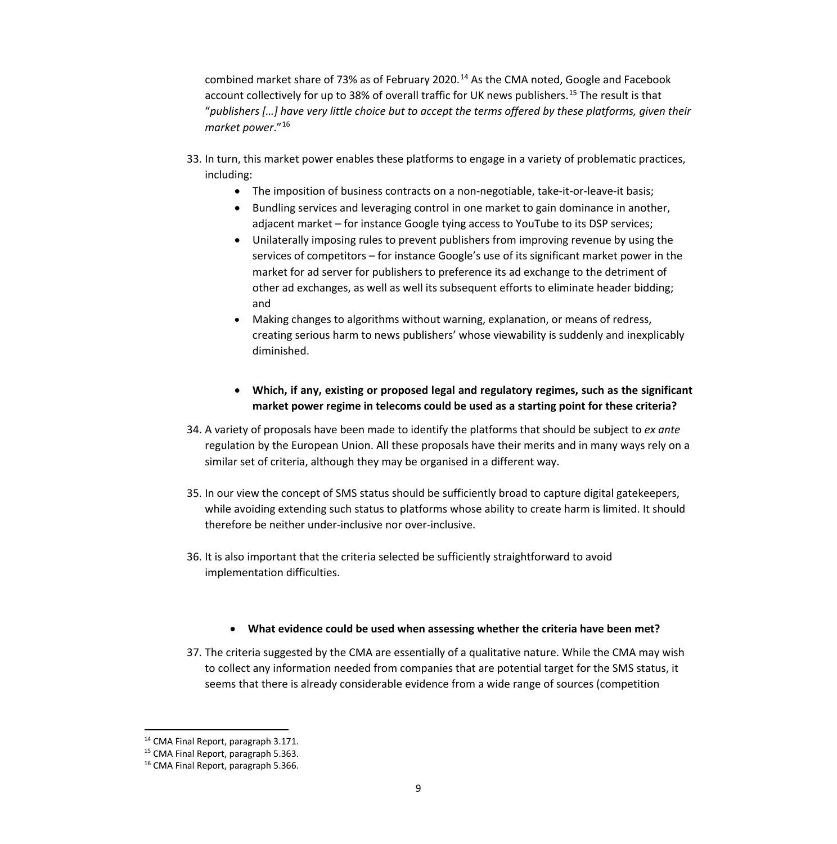combined market share of 73% as of February 2020. [14](#page-8-0) As the CMA noted, Google and Facebook account collectively for up to 38% of overall traffic for UK news publishers.<sup>[15](#page-8-1)</sup> The result is that "*publishers […] have very little choice but to accept the terms offered by these platforms, given their market power*."[16](#page-8-2) 

- 33. In turn, this market power enables these platforms to engage in a variety of problematic practices, including:
	- The imposition of business contracts on a non-negotiable, take-it-or-leave-it basis;
	- Bundling services and leveraging control in one market to gain dominance in another, adjacent market – for instance Google tying access to YouTube to its DSP services;
	- Unilaterally imposing rules to prevent publishers from improving revenue by using the services of competitors – for instance Google's use of its significant market power in the market for ad server for publishers to preference its ad exchange to the detriment of other ad exchanges, as well as well its subsequent efforts to eliminate header bidding; and
	- Making changes to algorithms without warning, explanation, or means of redress, creating serious harm to news publishers' whose viewability is suddenly and inexplicably diminished.
	- **Which, if any, existing or proposed legal and regulatory regimes, such as the significant market power regime in telecoms could be used as a starting point for these criteria?**
- 34. A variety of proposals have been made to identify the platforms that should be subject to *ex ante* regulation by the European Union. All these proposals have their merits and in many ways rely on a similar set of criteria, although they may be organised in a different way.
- 35. In our view the concept of SMS status should be sufficiently broad to capture digital gatekeepers, while avoiding extending such status to platforms whose ability to create harm is limited. It should therefore be neither under-inclusive nor over-inclusive.
- 36. It is also important that the criteria selected be sufficiently straightforward to avoid implementation difficulties.

#### • **What evidence could be used when assessing whether the criteria have been met?**

37. The criteria suggested by the CMA are essentially of a qualitative nature. While the CMA may wish to collect any information needed from companies that are potential target for the SMS status, it seems that there is already considerable evidence from a wide range of sources (competition

<sup>14</sup> CMA Final Report, paragraph 3.171.

<sup>&</sup>lt;sup>15</sup> CMA Final Report, paragraph 5.363.

<span id="page-8-2"></span><span id="page-8-1"></span><span id="page-8-0"></span><sup>16</sup> CMA Final Report, paragraph 5.366.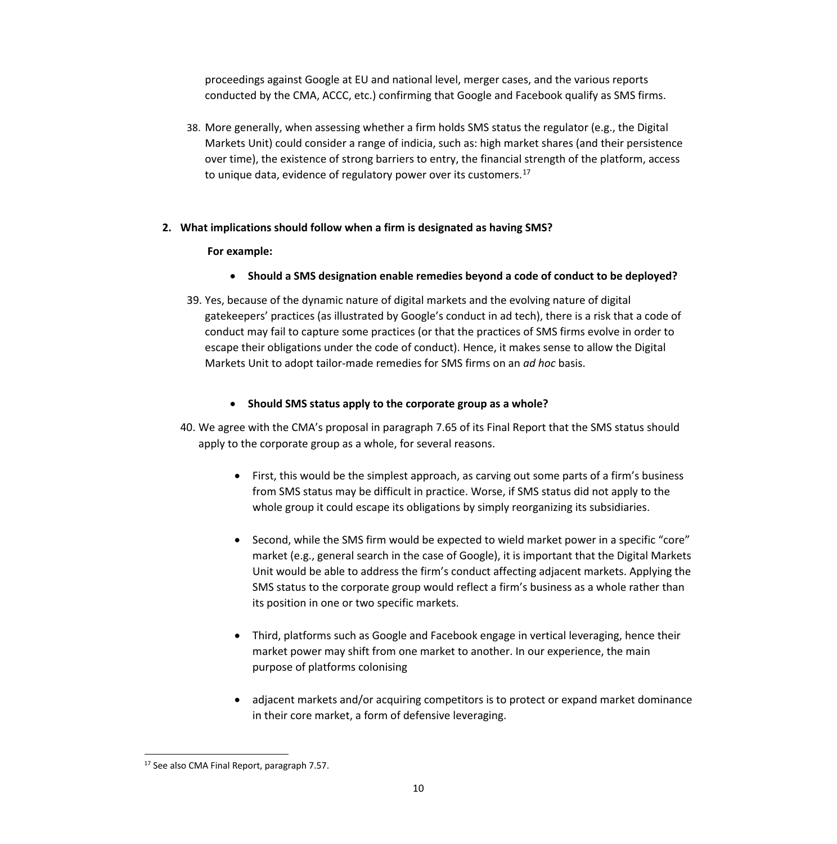proceedings against Google at EU and national level, merger cases, and the various reports conducted by the CMA, ACCC, etc.) confirming that Google and Facebook qualify as SMS firms.

38. More generally, when assessing whether a firm holds SMS status the regulator (e.g., the Digital Markets Unit) could consider a range of indicia, such as: high market shares (and their persistence over time), the existence of strong barriers to entry, the financial strength of the platform, access to unique data, evidence of regulatory power over its customers.<sup>17</sup>

#### **2. What implications should follow when a firm is designated as having SMS?**

#### **For example:**

- **Should a SMS designation enable remedies beyond a code of conduct to be deployed?**
- 39. Yes, because of the dynamic nature of digital markets and the evolving nature of digital gatekeepers' practices (as illustrated by Google's conduct in ad tech), there is a risk that a code of conduct may fail to capture some practices (or that the practices of SMS firms evolve in order to escape their obligations under the code of conduct). Hence, it makes sense to allow the Digital Markets Unit to adopt tailor-made remedies for SMS firms on an *ad hoc* basis.

#### • **Should SMS status apply to the corporate group as a whole?**

- 40. We agree with the CMA's proposal in paragraph 7.65 of its Final Report that the SMS status should apply to the corporate group as a whole, for several reasons.
	- First, this would be the simplest approach, as carving out some parts of a firm's business from SMS status may be difficult in practice. Worse, if SMS status did not apply to the whole group it could escape its obligations by simply reorganizing its subsidiaries.
	- Second, while the SMS firm would be expected to wield market power in a specific "core" market (e.g., general search in the case of Google), it is important that the Digital Markets Unit would be able to address the firm's conduct affecting adjacent markets. Applying the SMS status to the corporate group would reflect a firm's business as a whole rather than its position in one or two specific markets.
	- Third, platforms such as Google and Facebook engage in vertical leveraging, hence their market power may shift from one market to another. In our experience, the main purpose of platforms colonising
	- adjacent markets and/or acquiring competitors is to protect or expand market dominance in their core market, a form of defensive leveraging.

<span id="page-9-0"></span><sup>&</sup>lt;sup>17</sup> See also CMA Final Report, paragraph 7.57.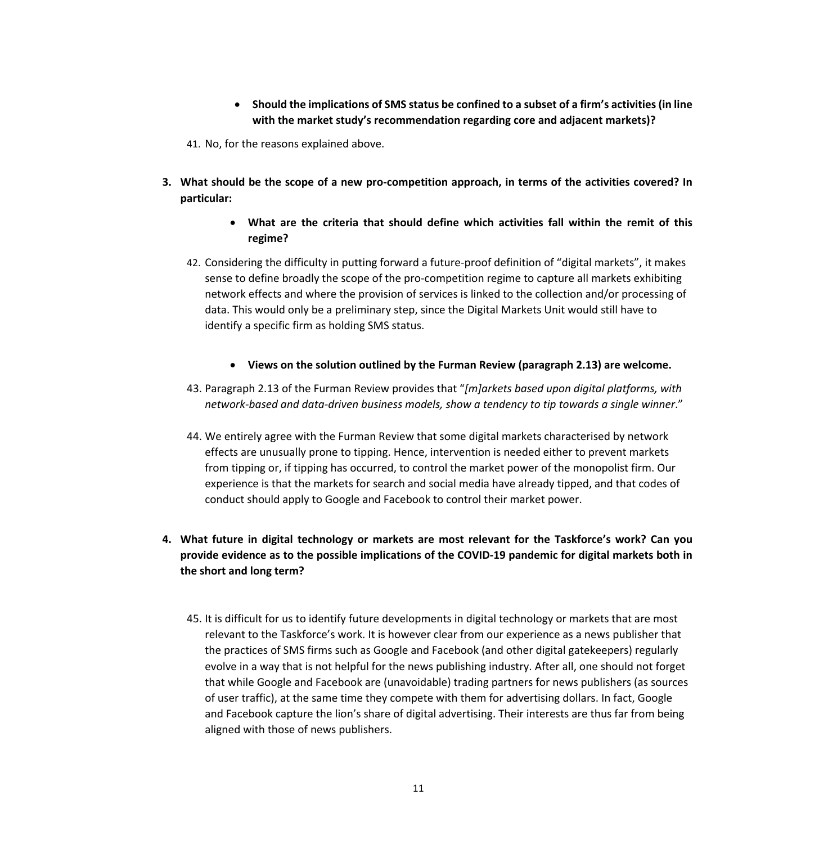- **Should the implications of SMS status be confined to a subset of a firm's activities (in line with the market study's recommendation regarding core and adjacent markets)?**
- 41. No, for the reasons explained above.
- **3. What should be the scope of a new pro-competition approach, in terms of the activities covered? In particular:**
	- **What are the criteria that should define which activities fall within the remit of this regime?**
	- 42. Considering the difficulty in putting forward a future-proof definition of "digital markets", it makes sense to define broadly the scope of the pro-competition regime to capture all markets exhibiting network effects and where the provision of services is linked to the collection and/or processing of data. This would only be a preliminary step, since the Digital Markets Unit would still have to identify a specific firm as holding SMS status.
		- **Views on the solution outlined by the Furman Review (paragraph 2.13) are welcome.**
	- 43. Paragraph 2.13 of the Furman Review provides that "*[m]arkets based upon digital platforms, with network-based and data-driven business models, show a tendency to tip towards a single winner*."
	- 44. We entirely agree with the Furman Review that some digital markets characterised by network effects are unusually prone to tipping. Hence, intervention is needed either to prevent markets from tipping or, if tipping has occurred, to control the market power of the monopolist firm. Our experience is that the markets for search and social media have already tipped, and that codes of conduct should apply to Google and Facebook to control their market power.
- **4. What future in digital technology or markets are most relevant for the Taskforce's work? Can you provide evidence as to the possible implications of the COVID-19 pandemic for digital markets both in the short and long term?**
	- 45. It is difficult for us to identify future developments in digital technology or markets that are most relevant to the Taskforce's work. It is however clear from our experience as a news publisher that the practices of SMS firms such as Google and Facebook (and other digital gatekeepers) regularly evolve in a way that is not helpful for the news publishing industry. After all, one should not forget that while Google and Facebook are (unavoidable) trading partners for news publishers (as sources of user traffic), at the same time they compete with them for advertising dollars. In fact, Google and Facebook capture the lion's share of digital advertising. Their interests are thus far from being aligned with those of news publishers.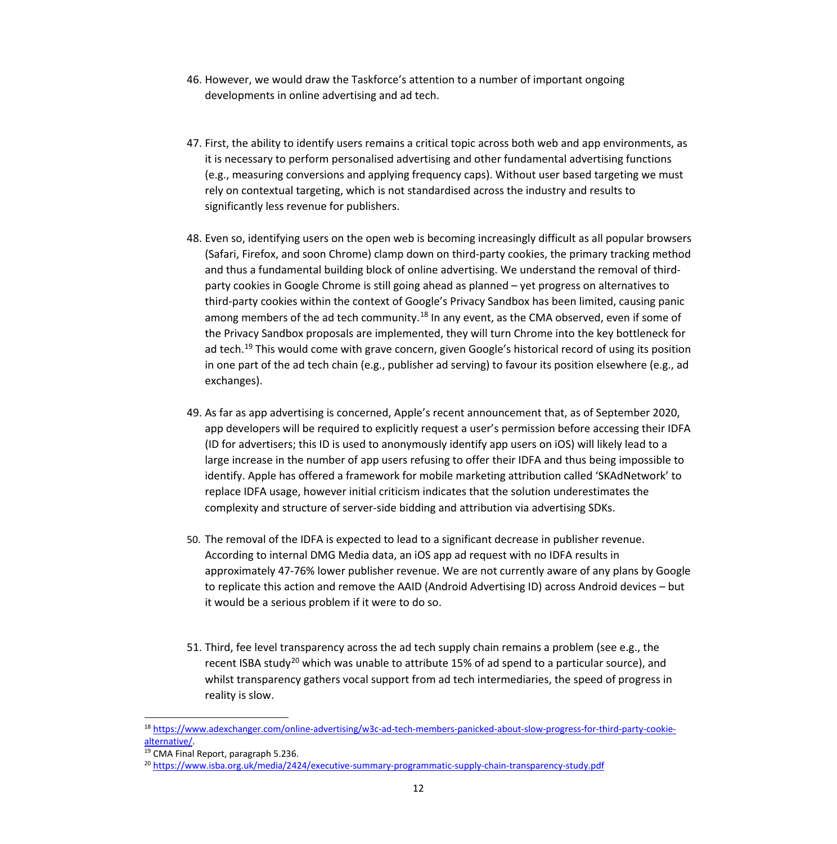- 46. However, we would draw the Taskforce's attention to a number of important ongoing developments in online advertising and ad tech.
- 47. First, the ability to identify users remains a critical topic across both web and app environments, as it is necessary to perform personalised advertising and other fundamental advertising functions (e.g., measuring conversions and applying frequency caps). Without user based targeting we must rely on contextual targeting, which is not standardised across the industry and results to significantly less revenue for publishers.
- 48. Even so, identifying users on the open web is becoming increasingly difficult as all popular browsers (Safari, Firefox, and soon Chrome) clamp down on third-party cookies, the primary tracking method and thus a fundamental building block of online advertising. We understand the removal of thirdparty cookies in Google Chrome is still going ahead as planned – yet progress on alternatives to third-party cookies within the context of Google's Privacy Sandbox has been limited, causing panic among members of the ad tech community.<sup>[18](#page-11-0)</sup> In any event, as the CMA observed, even if some of the Privacy Sandbox proposals are implemented, they will turn Chrome into the key bottleneck for ad tech.<sup>[19](#page-11-1)</sup> This would come with grave concern, given Google's historical record of using its position in one part of the ad tech chain (e.g., publisher ad serving) to favour its position elsewhere (e.g., ad exchanges).
- 49. As far as app advertising is concerned, Apple's recent announcement that, as of September 2020, app developers will be required to explicitly request a user's permission before accessing their IDFA (ID for advertisers; this ID is used to anonymously identify app users on iOS) will likely lead to a large increase in the number of app users refusing to offer their IDFA and thus being impossible to identify. Apple has offered a framework for mobile marketing attribution called 'SKAdNetwork' to replace IDFA usage, however initial criticism indicates that the solution underestimates the complexity and structure of server-side bidding and attribution via advertising SDKs.
- 50. The removal of the IDFA is expected to lead to a significant decrease in publisher revenue. According to internal DMG Media data, an iOS app ad request with no IDFA results in approximately 47-76% lower publisher revenue. We are not currently aware of any plans by Google to replicate this action and remove the AAID (Android Advertising ID) across Android devices – but it would be a serious problem if it were to do so.
- 51. Third, fee level transparency across the ad tech supply chain remains a problem (see e.g., the recent ISBA study<sup>[20](#page-11-2)</sup> which was unable to attribute 15% of ad spend to a particular source), and whilst transparency gathers vocal support from ad tech intermediaries, the speed of progress in reality is slow.

<span id="page-11-0"></span><sup>18</sup> [https://www.adexchanger.com/online-advertising/w3c-ad-tech-members-panicked-about-slow-progress-for-third-party-cookie](https://www.adexchanger.com/online-advertising/w3c-ad-tech-members-panicked-about-slow-progress-for-third-party-cookie-alternative/)[alternative/.](https://www.adexchanger.com/online-advertising/w3c-ad-tech-members-panicked-about-slow-progress-for-third-party-cookie-alternative/)<br><sup>19</sup> CMA Final Report, paragraph 5.236.

<span id="page-11-2"></span><span id="page-11-1"></span><sup>20</sup> <https://www.isba.org.uk/media/2424/executive-summary-programmatic-supply-chain-transparency-study.pdf>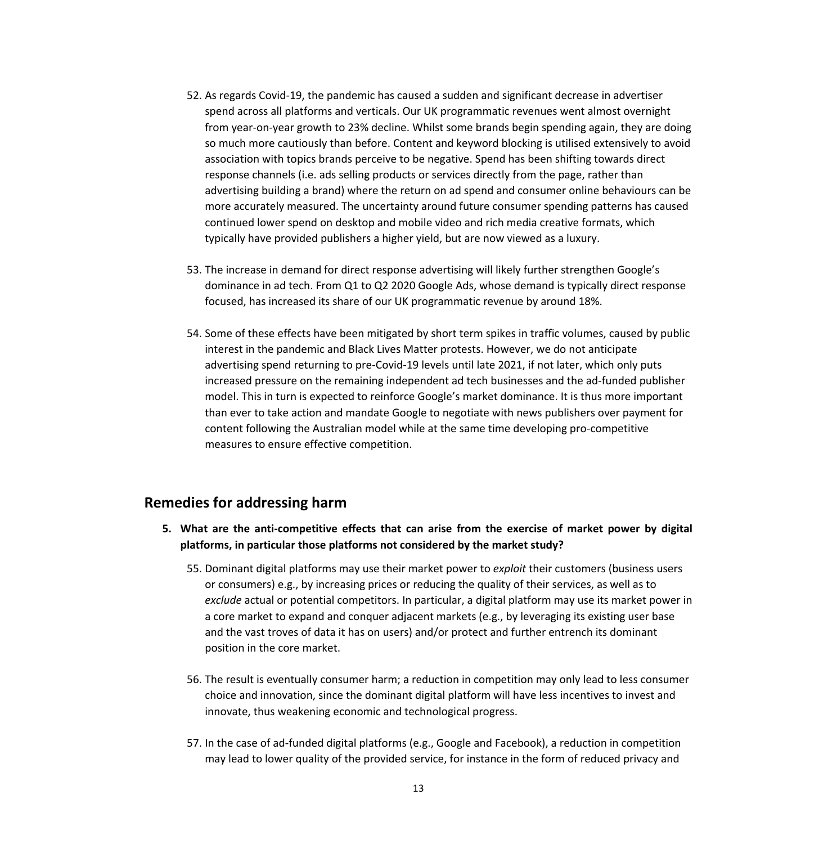- 52. As regards Covid-19, the pandemic has caused a sudden and significant decrease in advertiser spend across all platforms and verticals. Our UK programmatic revenues went almost overnight from year-on-year growth to 23% decline. Whilst some brands begin spending again, they are doing so much more cautiously than before. Content and keyword blocking is utilised extensively to avoid association with topics brands perceive to be negative. Spend has been shifting towards direct response channels (i.e. ads selling products or services directly from the page, rather than advertising building a brand) where the return on ad spend and consumer online behaviours can be more accurately measured. The uncertainty around future consumer spending patterns has caused continued lower spend on desktop and mobile video and rich media creative formats, which typically have provided publishers a higher yield, but are now viewed as a luxury.
- 53. The increase in demand for direct response advertising will likely further strengthen Google's dominance in ad tech. From Q1 to Q2 2020 Google Ads, whose demand is typically direct response focused, has increased its share of our UK programmatic revenue by around 18%.
- 54. Some of these effects have been mitigated by short term spikes in traffic volumes, caused by public interest in the pandemic and Black Lives Matter protests. However, we do not anticipate advertising spend returning to pre-Covid-19 levels until late 2021, if not later, which only puts increased pressure on the remaining independent ad tech businesses and the ad-funded publisher model. This in turn is expected to reinforce Google's market dominance. It is thus more important than ever to take action and mandate Google to negotiate with news publishers over payment for content following the Australian model while at the same time developing pro-competitive measures to ensure effective competition.

## **Remedies for addressing harm**

- **5. What are the anti-competitive effects that can arise from the exercise of market power by digital platforms, in particular those platforms not considered by the market study?**
	- 55. Dominant digital platforms may use their market power to *exploit* their customers (business users or consumers) e.g., by increasing prices or reducing the quality of their services, as well as to *exclude* actual or potential competitors. In particular, a digital platform may use its market power in a core market to expand and conquer adjacent markets (e.g., by leveraging its existing user base and the vast troves of data it has on users) and/or protect and further entrench its dominant position in the core market.
	- 56. The result is eventually consumer harm; a reduction in competition may only lead to less consumer choice and innovation, since the dominant digital platform will have less incentives to invest and innovate, thus weakening economic and technological progress.
	- 57. In the case of ad-funded digital platforms (e.g., Google and Facebook), a reduction in competition may lead to lower quality of the provided service, for instance in the form of reduced privacy and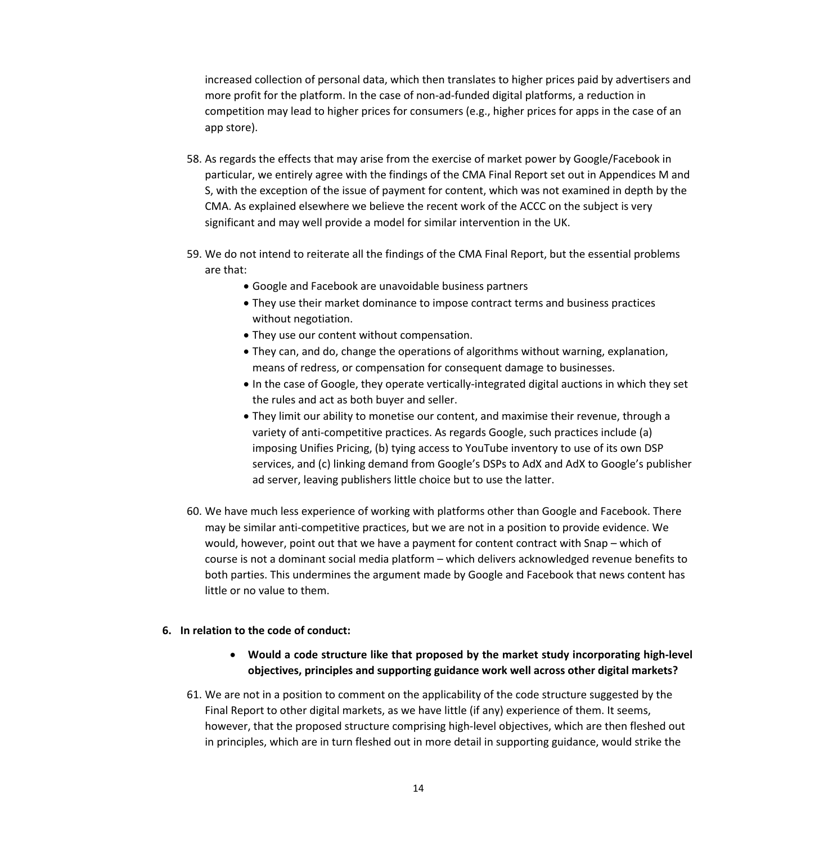increased collection of personal data, which then translates to higher prices paid by advertisers and more profit for the platform. In the case of non-ad-funded digital platforms, a reduction in competition may lead to higher prices for consumers (e.g., higher prices for apps in the case of an app store).

- 58. As regards the effects that may arise from the exercise of market power by Google/Facebook in particular, we entirely agree with the findings of the CMA Final Report set out in Appendices M and S, with the exception of the issue of payment for content, which was not examined in depth by the CMA. As explained elsewhere we believe the recent work of the ACCC on the subject is very significant and may well provide a model for similar intervention in the UK.
- 59. We do not intend to reiterate all the findings of the CMA Final Report, but the essential problems are that:
	- Google and Facebook are unavoidable business partners
	- They use their market dominance to impose contract terms and business practices without negotiation.
	- They use our content without compensation.
	- They can, and do, change the operations of algorithms without warning, explanation, means of redress, or compensation for consequent damage to businesses.
	- In the case of Google, they operate vertically-integrated digital auctions in which they set the rules and act as both buyer and seller.
	- They limit our ability to monetise our content, and maximise their revenue, through a variety of anti-competitive practices. As regards Google, such practices include (a) imposing Unifies Pricing, (b) tying access to YouTube inventory to use of its own DSP services, and (c) linking demand from Google's DSPs to AdX and AdX to Google's publisher ad server, leaving publishers little choice but to use the latter.
- 60. We have much less experience of working with platforms other than Google and Facebook. There may be similar anti-competitive practices, but we are not in a position to provide evidence. We would, however, point out that we have a payment for content contract with Snap – which of course is not a dominant social media platform – which delivers acknowledged revenue benefits to both parties. This undermines the argument made by Google and Facebook that news content has little or no value to them.

#### **6. In relation to the code of conduct:**

- **Would a code structure like that proposed by the market study incorporating high-level objectives, principles and supporting guidance work well across other digital markets?**
- 61. We are not in a position to comment on the applicability of the code structure suggested by the Final Report to other digital markets, as we have little (if any) experience of them. It seems, however, that the proposed structure comprising high-level objectives, which are then fleshed out in principles, which are in turn fleshed out in more detail in supporting guidance, would strike the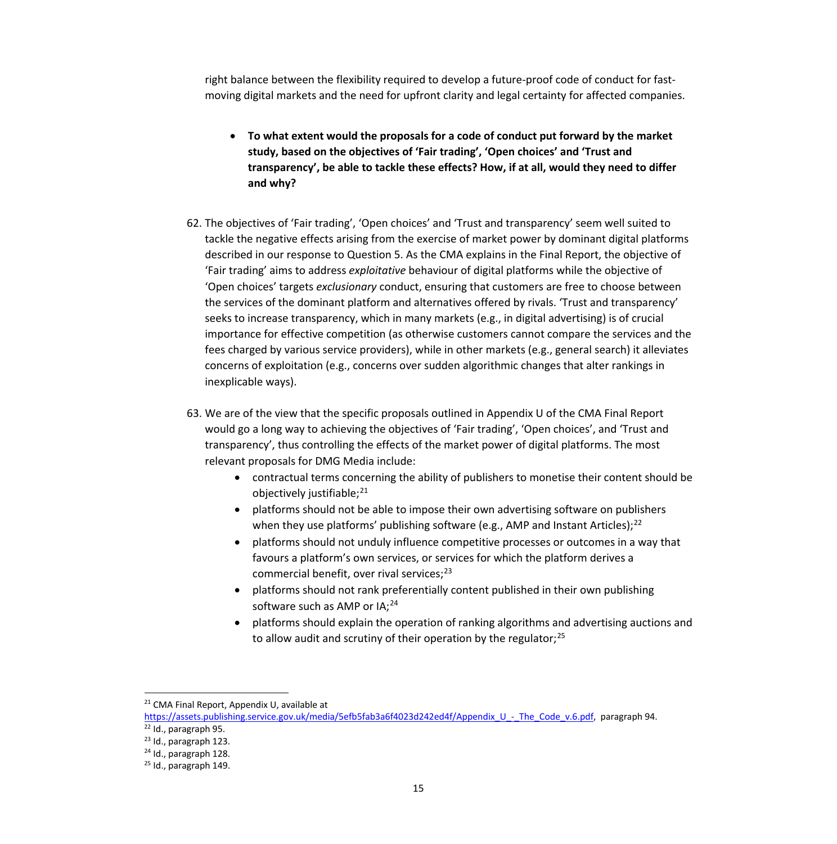right balance between the flexibility required to develop a future-proof code of conduct for fastmoving digital markets and the need for upfront clarity and legal certainty for affected companies.

- **To what extent would the proposals for a code of conduct put forward by the market study, based on the objectives of 'Fair trading', 'Open choices' and 'Trust and transparency', be able to tackle these effects? How, if at all, would they need to differ and why?**
- 62. The objectives of 'Fair trading', 'Open choices' and 'Trust and transparency' seem well suited to tackle the negative effects arising from the exercise of market power by dominant digital platforms described in our response to Question 5. As the CMA explains in the Final Report, the objective of 'Fair trading' aims to address *exploitative* behaviour of digital platforms while the objective of 'Open choices' targets *exclusionary* conduct, ensuring that customers are free to choose between the services of the dominant platform and alternatives offered by rivals. 'Trust and transparency' seeks to increase transparency, which in many markets (e.g., in digital advertising) is of crucial importance for effective competition (as otherwise customers cannot compare the services and the fees charged by various service providers), while in other markets (e.g., general search) it alleviates concerns of exploitation (e.g., concerns over sudden algorithmic changes that alter rankings in inexplicable ways).
- 63. We are of the view that the specific proposals outlined in Appendix U of the CMA Final Report would go a long way to achieving the objectives of 'Fair trading', 'Open choices', and 'Trust and transparency', thus controlling the effects of the market power of digital platforms. The most relevant proposals for DMG Media include:
	- contractual terms concerning the ability of publishers to monetise their content should be objectively justifiable; [21](#page-14-0)
	- platforms should not be able to impose their own advertising software on publishers when they use platforms' publishing software (e.g., AMP and Instant Articles);<sup>[22](#page-14-1)</sup>
	- platforms should not unduly influence competitive processes or outcomes in a way that favours a platform's own services, or services for which the platform derives a commercial benefit, over rival services;<sup>[23](#page-14-2)</sup>
	- platforms should not rank preferentially content published in their own publishing software such as AMP or IA;<sup>[24](#page-14-3)</sup>
	- platforms should explain the operation of ranking algorithms and advertising auctions and to allow audit and scrutiny of their operation by the regulator;<sup>[25](#page-14-4)</sup>

<sup>&</sup>lt;sup>21</sup> CMA Final Report, Appendix U, available at

<span id="page-14-1"></span><span id="page-14-0"></span>[https://assets.publishing.service.gov.uk/media/5efb5fab3a6f4023d242ed4f/Appendix\\_U\\_-\\_The\\_Code\\_v.6.pdf,](https://assets.publishing.service.gov.uk/media/5efb5fab3a6f4023d242ed4f/Appendix_U_-_The_Code_v.6.pdf) paragraph 94.

<sup>22</sup> Id., paragraph 95.

<span id="page-14-2"></span><sup>23</sup> Id., paragraph 123.

<span id="page-14-3"></span><sup>24</sup> Id., paragraph 128.

<span id="page-14-4"></span> $25$  Id., paragraph 149.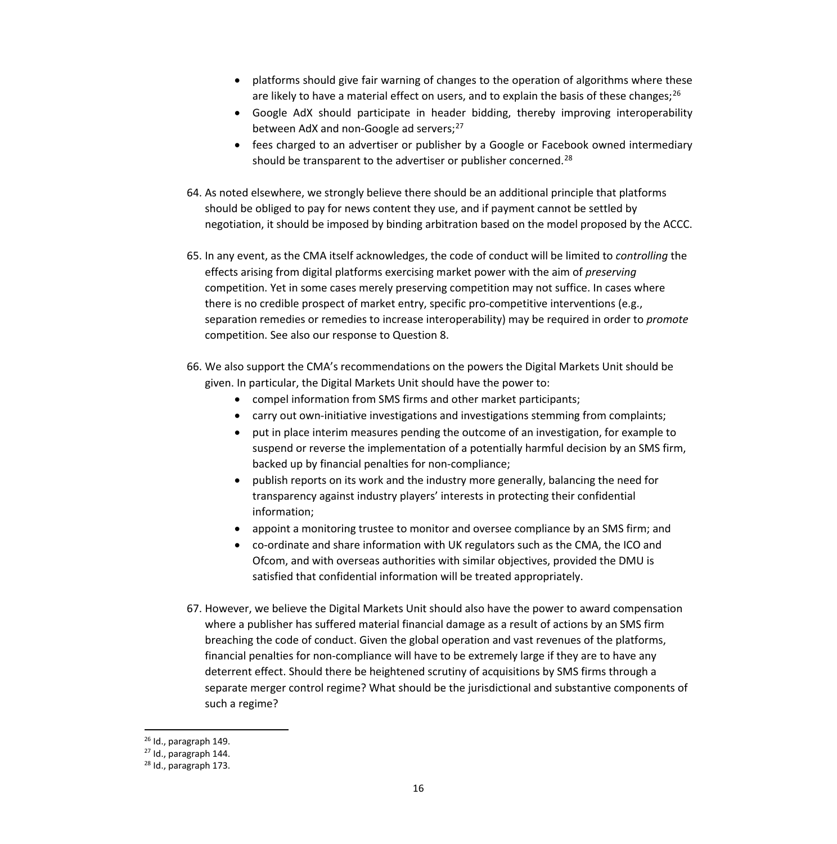- platforms should give fair warning of changes to the operation of algorithms where these are likely to have a material effect on users, and to explain the basis of these changes;<sup>[26](#page-15-0)</sup>
- Google AdX should participate in header bidding, thereby improving interoperability between AdX and non-Google ad servers; [27](#page-15-1)
- fees charged to an advertiser or publisher by a Google or Facebook owned intermediary should be transparent to the advertiser or publisher concerned.<sup>[28](#page-15-2)</sup>
- 64. As noted elsewhere, we strongly believe there should be an additional principle that platforms should be obliged to pay for news content they use, and if payment cannot be settled by negotiation, it should be imposed by binding arbitration based on the model proposed by the ACCC.
- 65. In any event, as the CMA itself acknowledges, the code of conduct will be limited to *controlling* the effects arising from digital platforms exercising market power with the aim of *preserving* competition. Yet in some cases merely preserving competition may not suffice. In cases where there is no credible prospect of market entry, specific pro-competitive interventions (e.g., separation remedies or remedies to increase interoperability) may be required in order to *promote* competition. See also our response to Question 8.
- 66. We also support the CMA's recommendations on the powers the Digital Markets Unit should be given. In particular, the Digital Markets Unit should have the power to:
	- compel information from SMS firms and other market participants;
	- carry out own-initiative investigations and investigations stemming from complaints;
	- put in place interim measures pending the outcome of an investigation, for example to suspend or reverse the implementation of a potentially harmful decision by an SMS firm, backed up by financial penalties for non-compliance;
	- publish reports on its work and the industry more generally, balancing the need for transparency against industry players' interests in protecting their confidential information;
	- appoint a monitoring trustee to monitor and oversee compliance by an SMS firm; and
	- co-ordinate and share information with UK regulators such as the CMA, the ICO and Ofcom, and with overseas authorities with similar objectives, provided the DMU is satisfied that confidential information will be treated appropriately.
- 67. However, we believe the Digital Markets Unit should also have the power to award compensation where a publisher has suffered material financial damage as a result of actions by an SMS firm breaching the code of conduct. Given the global operation and vast revenues of the platforms, financial penalties for non-compliance will have to be extremely large if they are to have any deterrent effect. Should there be heightened scrutiny of acquisitions by SMS firms through a separate merger control regime? What should be the jurisdictional and substantive components of such a regime?

<span id="page-15-0"></span><sup>26</sup> Id., paragraph 149.

<sup>27</sup> Id., paragraph 144.

<span id="page-15-2"></span><span id="page-15-1"></span><sup>28</sup> Id., paragraph 173.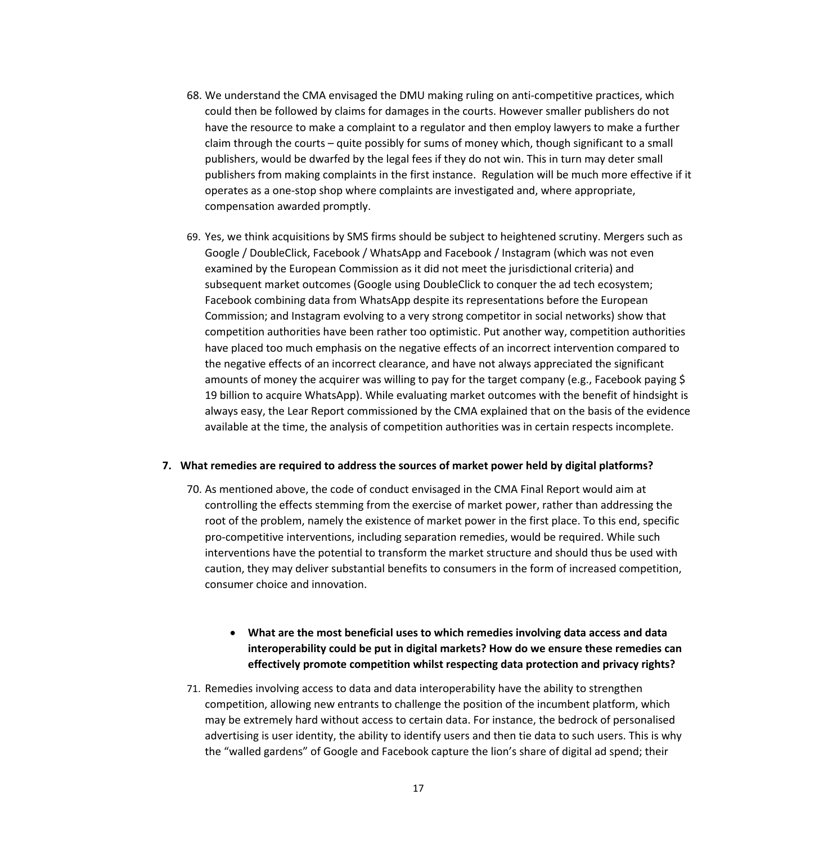- 68. We understand the CMA envisaged the DMU making ruling on anti-competitive practices, which could then be followed by claims for damages in the courts. However smaller publishers do not have the resource to make a complaint to a regulator and then employ lawyers to make a further claim through the courts – quite possibly for sums of money which, though significant to a small publishers, would be dwarfed by the legal fees if they do not win. This in turn may deter small publishers from making complaints in the first instance. Regulation will be much more effective if it operates as a one-stop shop where complaints are investigated and, where appropriate, compensation awarded promptly.
- 69. Yes, we think acquisitions by SMS firms should be subject to heightened scrutiny. Mergers such as Google / DoubleClick, Facebook / WhatsApp and Facebook / Instagram (which was not even examined by the European Commission as it did not meet the jurisdictional criteria) and subsequent market outcomes (Google using DoubleClick to conquer the ad tech ecosystem; Facebook combining data from WhatsApp despite its representations before the European Commission; and Instagram evolving to a very strong competitor in social networks) show that competition authorities have been rather too optimistic. Put another way, competition authorities have placed too much emphasis on the negative effects of an incorrect intervention compared to the negative effects of an incorrect clearance, and have not always appreciated the significant amounts of money the acquirer was willing to pay for the target company (e.g., Facebook paying \$ 19 billion to acquire WhatsApp). While evaluating market outcomes with the benefit of hindsight is always easy, the Lear Report commissioned by the CMA explained that on the basis of the evidence available at the time, the analysis of competition authorities was in certain respects incomplete.

#### **7. What remedies are required to address the sources of market power held by digital platforms?**

- 70. As mentioned above, the code of conduct envisaged in the CMA Final Report would aim at controlling the effects stemming from the exercise of market power, rather than addressing the root of the problem, namely the existence of market power in the first place. To this end, specific pro-competitive interventions, including separation remedies, would be required. While such interventions have the potential to transform the market structure and should thus be used with caution, they may deliver substantial benefits to consumers in the form of increased competition, consumer choice and innovation.
	- **What are the most beneficial uses to which remedies involving data access and data interoperability could be put in digital markets? How do we ensure these remedies can effectively promote competition whilst respecting data protection and privacy rights?**
- 71. Remedies involving access to data and data interoperability have the ability to strengthen competition, allowing new entrants to challenge the position of the incumbent platform, which may be extremely hard without access to certain data. For instance, the bedrock of personalised advertising is user identity, the ability to identify users and then tie data to such users. This is why the "walled gardens" of Google and Facebook capture the lion's share of digital ad spend; their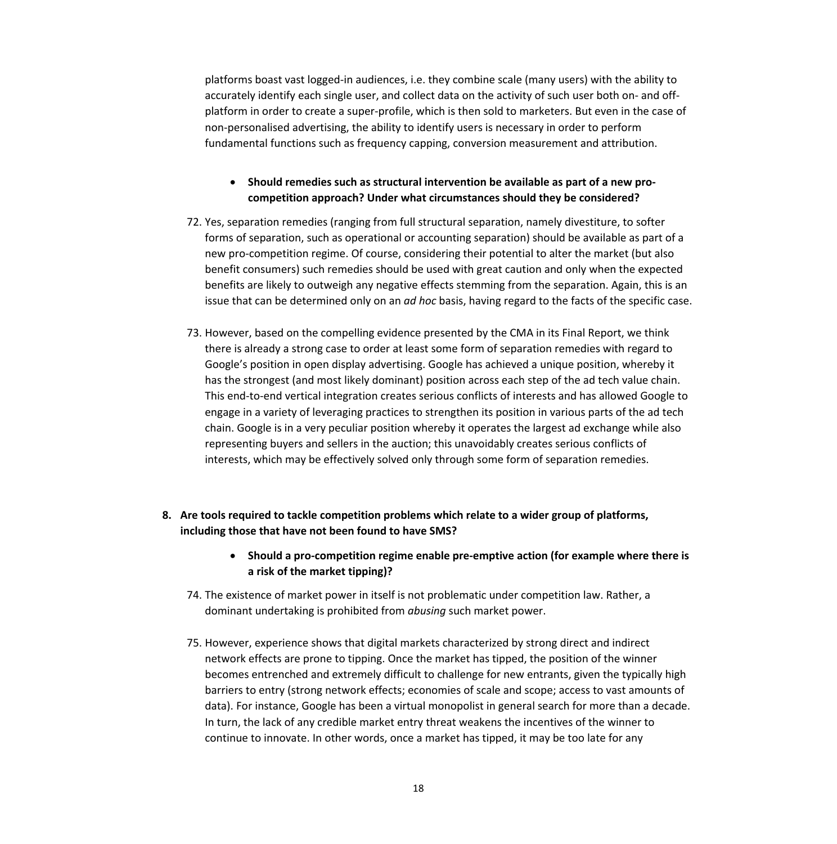platforms boast vast logged-in audiences, i.e. they combine scale (many users) with the ability to accurately identify each single user, and collect data on the activity of such user both on- and offplatform in order to create a super-profile, which is then sold to marketers. But even in the case of non-personalised advertising, the ability to identify users is necessary in order to perform fundamental functions such as frequency capping, conversion measurement and attribution.

#### • **Should remedies such as structural intervention be available as part of a new procompetition approach? Under what circumstances should they be considered?**

- 72. Yes, separation remedies (ranging from full structural separation, namely divestiture, to softer forms of separation, such as operational or accounting separation) should be available as part of a new pro-competition regime. Of course, considering their potential to alter the market (but also benefit consumers) such remedies should be used with great caution and only when the expected benefits are likely to outweigh any negative effects stemming from the separation. Again, this is an issue that can be determined only on an *ad hoc* basis, having regard to the facts of the specific case.
- 73. However, based on the compelling evidence presented by the CMA in its Final Report, we think there is already a strong case to order at least some form of separation remedies with regard to Google's position in open display advertising. Google has achieved a unique position, whereby it has the strongest (and most likely dominant) position across each step of the ad tech value chain. This end-to-end vertical integration creates serious conflicts of interests and has allowed Google to engage in a variety of leveraging practices to strengthen its position in various parts of the ad tech chain. Google is in a very peculiar position whereby it operates the largest ad exchange while also representing buyers and sellers in the auction; this unavoidably creates serious conflicts of interests, which may be effectively solved only through some form of separation remedies.
- **8. Are tools required to tackle competition problems which relate to a wider group of platforms, including those that have not been found to have SMS?**
	- **Should a pro-competition regime enable pre-emptive action (for example where there is a risk of the market tipping)?**
	- 74. The existence of market power in itself is not problematic under competition law. Rather, a dominant undertaking is prohibited from *abusing* such market power.
	- 75. However, experience shows that digital markets characterized by strong direct and indirect network effects are prone to tipping. Once the market has tipped, the position of the winner becomes entrenched and extremely difficult to challenge for new entrants, given the typically high barriers to entry (strong network effects; economies of scale and scope; access to vast amounts of data). For instance, Google has been a virtual monopolist in general search for more than a decade. In turn, the lack of any credible market entry threat weakens the incentives of the winner to continue to innovate. In other words, once a market has tipped, it may be too late for any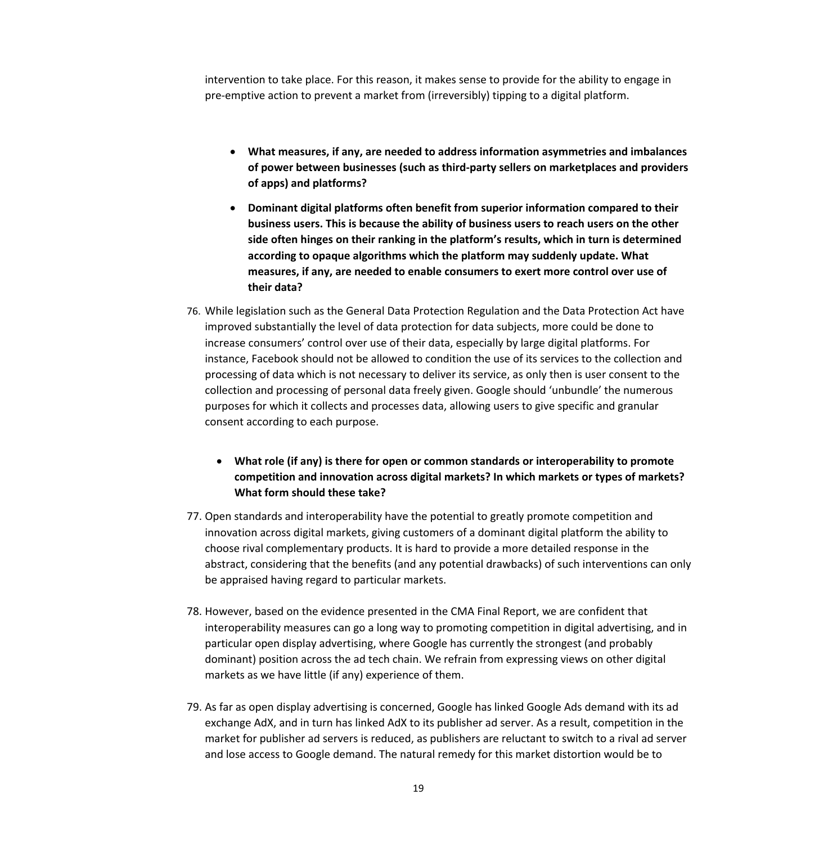intervention to take place. For this reason, it makes sense to provide for the ability to engage in pre-emptive action to prevent a market from (irreversibly) tipping to a digital platform.

- **What measures, if any, are needed to address information asymmetries and imbalances of power between businesses (such as third-party sellers on marketplaces and providers of apps) and platforms?**
- **Dominant digital platforms often benefit from superior information compared to their business users. This is because the ability of business users to reach users on the other side often hinges on their ranking in the platform's results, which in turn is determined according to opaque algorithms which the platform may suddenly update. What measures, if any, are needed to enable consumers to exert more control over use of their data?**
- 76. While legislation such as the General Data Protection Regulation and the Data Protection Act have improved substantially the level of data protection for data subjects, more could be done to increase consumers' control over use of their data, especially by large digital platforms. For instance, Facebook should not be allowed to condition the use of its services to the collection and processing of data which is not necessary to deliver its service, as only then is user consent to the collection and processing of personal data freely given. Google should 'unbundle' the numerous purposes for which it collects and processes data, allowing users to give specific and granular consent according to each purpose.
	- **What role (if any) is there for open or common standards or interoperability to promote competition and innovation across digital markets? In which markets or types of markets? What form should these take?**
- 77. Open standards and interoperability have the potential to greatly promote competition and innovation across digital markets, giving customers of a dominant digital platform the ability to choose rival complementary products. It is hard to provide a more detailed response in the abstract, considering that the benefits (and any potential drawbacks) of such interventions can only be appraised having regard to particular markets.
- 78. However, based on the evidence presented in the CMA Final Report, we are confident that interoperability measures can go a long way to promoting competition in digital advertising, and in particular open display advertising, where Google has currently the strongest (and probably dominant) position across the ad tech chain. We refrain from expressing views on other digital markets as we have little (if any) experience of them.
- 79. As far as open display advertising is concerned, Google has linked Google Ads demand with its ad exchange AdX, and in turn has linked AdX to its publisher ad server. As a result, competition in the market for publisher ad servers is reduced, as publishers are reluctant to switch to a rival ad server and lose access to Google demand. The natural remedy for this market distortion would be to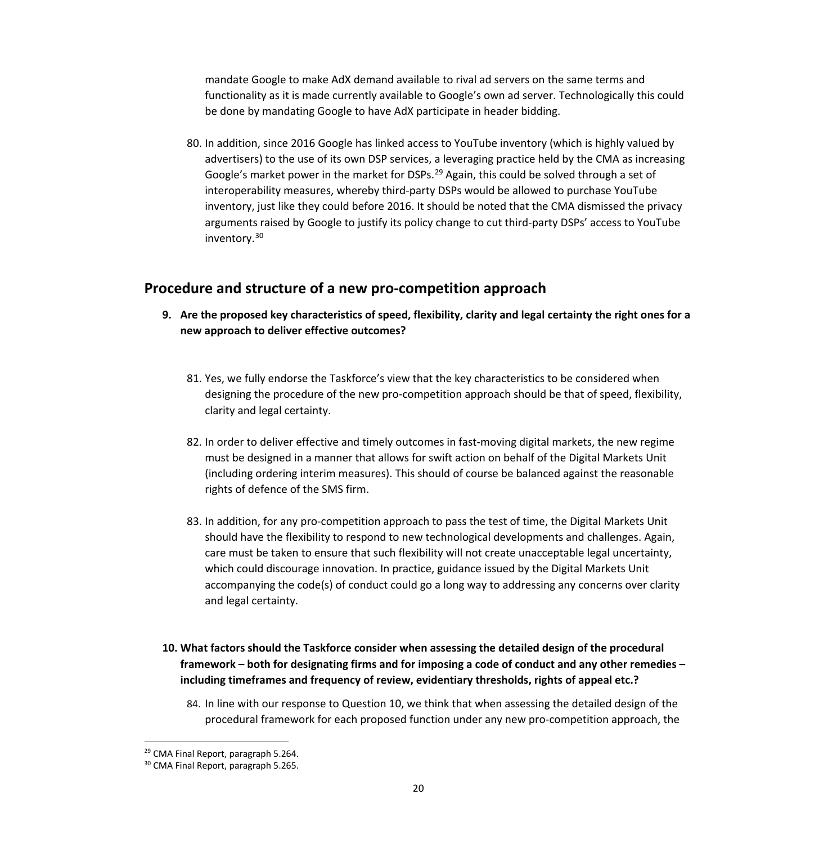mandate Google to make AdX demand available to rival ad servers on the same terms and functionality as it is made currently available to Google's own ad server. Technologically this could be done by mandating Google to have AdX participate in header bidding.

80. In addition, since 2016 Google has linked access to YouTube inventory (which is highly valued by advertisers) to the use of its own DSP services, a leveraging practice held by the CMA as increasing Google's market power in the market for DSPs.<sup>[29](#page-19-0)</sup> Again, this could be solved through a set of interoperability measures, whereby third-party DSPs would be allowed to purchase YouTube inventory, just like they could before 2016. It should be noted that the CMA dismissed the privacy arguments raised by Google to justify its policy change to cut third-party DSPs' access to YouTube inventory.[30](#page-19-1)

### **Procedure and structure of a new pro-competition approach**

- **9. Are the proposed key characteristics of speed, flexibility, clarity and legal certainty the right ones for a new approach to deliver effective outcomes?**
	- 81. Yes, we fully endorse the Taskforce's view that the key characteristics to be considered when designing the procedure of the new pro-competition approach should be that of speed, flexibility, clarity and legal certainty.
	- 82. In order to deliver effective and timely outcomes in fast-moving digital markets, the new regime must be designed in a manner that allows for swift action on behalf of the Digital Markets Unit (including ordering interim measures). This should of course be balanced against the reasonable rights of defence of the SMS firm.
	- 83. In addition, for any pro-competition approach to pass the test of time, the Digital Markets Unit should have the flexibility to respond to new technological developments and challenges. Again, care must be taken to ensure that such flexibility will not create unacceptable legal uncertainty, which could discourage innovation. In practice, guidance issued by the Digital Markets Unit accompanying the code(s) of conduct could go a long way to addressing any concerns over clarity and legal certainty.
- **10. What factors should the Taskforce consider when assessing the detailed design of the procedural framework – both for designating firms and for imposing a code of conduct and any other remedies – including timeframes and frequency of review, evidentiary thresholds, rights of appeal etc.?**
	- 84. In line with our response to Question 10, we think that when assessing the detailed design of the procedural framework for each proposed function under any new pro-competition approach, the

<sup>&</sup>lt;sup>29</sup> CMA Final Report, paragraph 5.264.

<span id="page-19-1"></span><span id="page-19-0"></span><sup>30</sup> CMA Final Report, paragraph 5.265.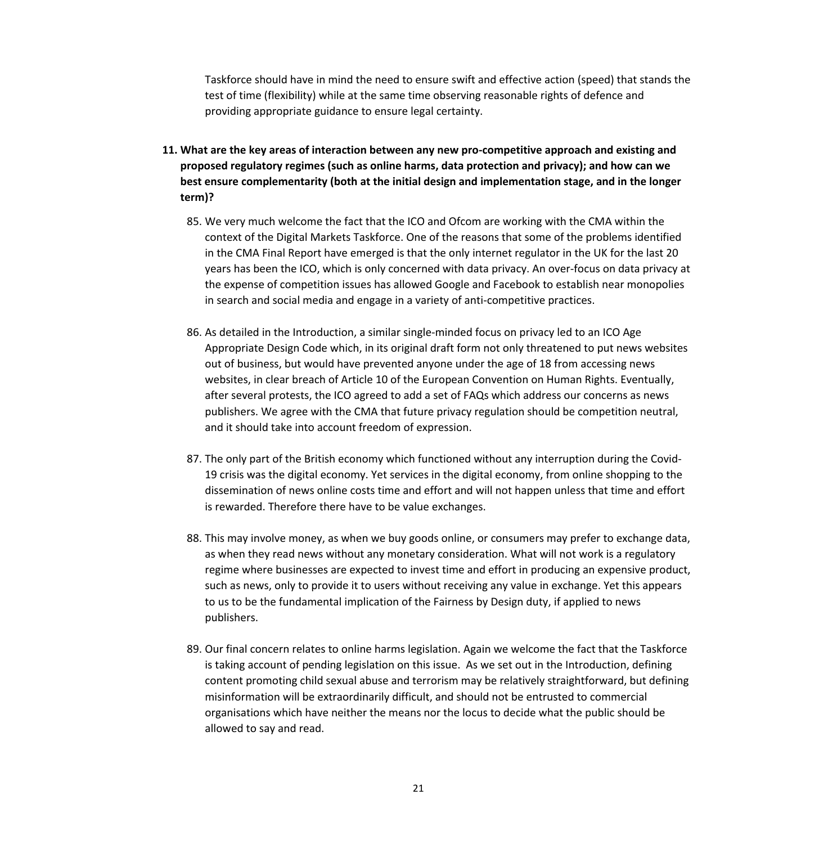Taskforce should have in mind the need to ensure swift and effective action (speed) that stands the test of time (flexibility) while at the same time observing reasonable rights of defence and providing appropriate guidance to ensure legal certainty.

- **11. What are the key areas of interaction between any new pro-competitive approach and existing and proposed regulatory regimes (such as online harms, data protection and privacy); and how can we best ensure complementarity (both at the initial design and implementation stage, and in the longer term)?**
	- 85. We very much welcome the fact that the ICO and Ofcom are working with the CMA within the context of the Digital Markets Taskforce. One of the reasons that some of the problems identified in the CMA Final Report have emerged is that the only internet regulator in the UK for the last 20 years has been the ICO, which is only concerned with data privacy. An over-focus on data privacy at the expense of competition issues has allowed Google and Facebook to establish near monopolies in search and social media and engage in a variety of anti-competitive practices.
	- 86. As detailed in the Introduction, a similar single-minded focus on privacy led to an ICO Age Appropriate Design Code which, in its original draft form not only threatened to put news websites out of business, but would have prevented anyone under the age of 18 from accessing news websites, in clear breach of Article 10 of the European Convention on Human Rights. Eventually, after several protests, the ICO agreed to add a set of FAQs which address our concerns as news publishers. We agree with the CMA that future privacy regulation should be competition neutral, and it should take into account freedom of expression.
	- 87. The only part of the British economy which functioned without any interruption during the Covid-19 crisis was the digital economy. Yet services in the digital economy, from online shopping to the dissemination of news online costs time and effort and will not happen unless that time and effort is rewarded. Therefore there have to be value exchanges.
	- 88. This may involve money, as when we buy goods online, or consumers may prefer to exchange data, as when they read news without any monetary consideration. What will not work is a regulatory regime where businesses are expected to invest time and effort in producing an expensive product, such as news, only to provide it to users without receiving any value in exchange. Yet this appears to us to be the fundamental implication of the Fairness by Design duty, if applied to news publishers.
	- 89. Our final concern relates to online harms legislation. Again we welcome the fact that the Taskforce is taking account of pending legislation on this issue. As we set out in the Introduction, defining content promoting child sexual abuse and terrorism may be relatively straightforward, but defining misinformation will be extraordinarily difficult, and should not be entrusted to commercial organisations which have neither the means nor the locus to decide what the public should be allowed to say and read.